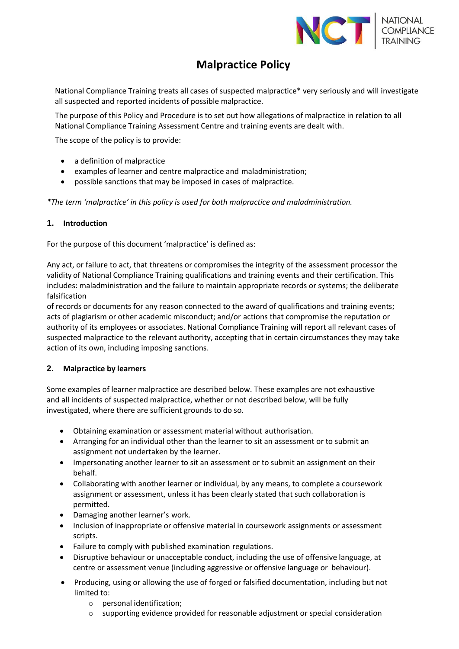

# **Malpractice Policy**

National Compliance Training treats all cases of suspected malpractice\* very seriously and will investigate all suspected and reported incidents of possible malpractice.

The purpose of this Policy and Procedure is to set out how allegations of malpractice in relation to all National Compliance Training Assessment Centre and training events are dealt with.

The scope of the policy is to provide:

- a definition of malpractice
- examples of learner and centre malpractice and maladministration;
- possible sanctions that may be imposed in cases of malpractice.

*\*The term 'malpractice' in this policy is used for both malpractice and maladministration.*

#### **1. Introduction**

For the purpose of this document 'malpractice' is defined as:

Any act, or failure to act, that threatens or compromises the integrity of the assessment processor the validity of National Compliance Training qualifications and training events and their certification. This includes: maladministration and the failure to maintain appropriate records or systems; the deliberate falsification

of records or documents for any reason connected to the award of qualifications and training events; acts of plagiarism or other academic misconduct; and/or actions that compromise the reputation or authority of its employees or associates. National Compliance Training will report all relevant cases of suspected malpractice to the relevant authority, accepting that in certain circumstances they may take action of its own, including imposing sanctions.

# **2. Malpractice by learners**

Some examples of learner malpractice are described below. These examples are not exhaustive and all incidents of suspected malpractice, whether or not described below, will be fully investigated, where there are sufficient grounds to do so.

- Obtaining examination or assessment material without authorisation.
- Arranging for an individual other than the learner to sit an assessment or to submit an assignment not undertaken by the learner.
- Impersonating another learner to sit an assessment or to submit an assignment on their behalf.
- Collaborating with another learner or individual, by any means, to complete a coursework assignment or assessment, unless it has been clearly stated that such collaboration is permitted.
- Damaging another learner's work.
- Inclusion of inappropriate or offensive material in coursework assignments or assessment scripts.
- Failure to comply with published examination regulations.
- Disruptive behaviour or unacceptable conduct, including the use of offensive language, at centre or assessment venue (including aggressive or offensive language or behaviour).
- Producing, using or allowing the use of forged or falsified documentation, including but not limited to:
	- o personal identification;
	- $\circ$  supporting evidence provided for reasonable adjustment or special consideration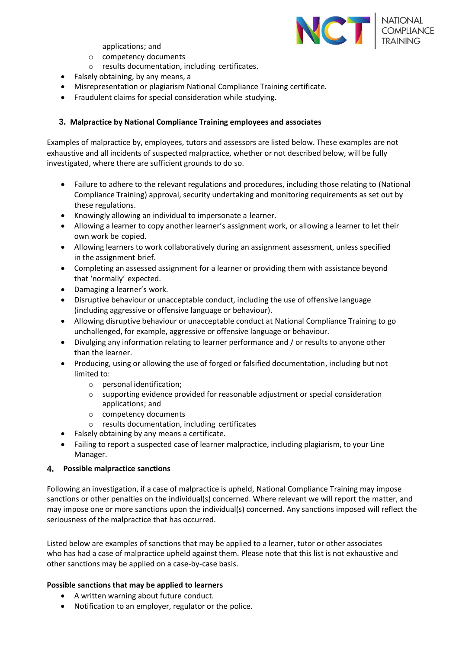

applications; and

- o competency documents
- o results documentation, including certificates.
- Falsely obtaining, by any means, a
- Misrepresentation or plagiarism National Compliance Training certificate.
- Fraudulent claims for special consideration while studying.

#### **3. Malpractice by National Compliance Training employees and associates**

Examples of malpractice by, employees, tutors and assessors are listed below. These examples are not exhaustive and all incidents of suspected malpractice, whether or not described below, will be fully investigated, where there are sufficient grounds to do so.

- Failure to adhere to the relevant regulations and procedures, including those relating to (National Compliance Training) approval, security undertaking and monitoring requirements as set out by these regulations.
- Knowingly allowing an individual to impersonate a learner.
- Allowing a learner to copy another learner's assignment work, or allowing a learner to let their own work be copied.
- Allowing learners to work collaboratively during an assignment assessment, unless specified in the assignment brief.
- Completing an assessed assignment for a learner or providing them with assistance beyond that 'normally' expected.
- Damaging a learner's work.
- Disruptive behaviour or unacceptable conduct, including the use of offensive language (including aggressive or offensive language or behaviour).
- Allowing disruptive behaviour or unacceptable conduct at National Compliance Training to go unchallenged, for example, aggressive or offensive language or behaviour.
- Divulging any information relating to learner performance and / or results to anyone other than the learner.
- Producing, using or allowing the use of forged or falsified documentation, including but not limited to:
	- o personal identification;
	- o supporting evidence provided for reasonable adjustment or special consideration applications; and
	- o competency documents
	- o results documentation, including certificates
- Falsely obtaining by any means a certificate.
- Failing to report a suspected case of learner malpractice, including plagiarism, to your Line Manager.

#### **4. Possible malpractice sanctions**

Following an investigation, if a case of malpractice is upheld, National Compliance Training may impose sanctions or other penalties on the individual(s) concerned. Where relevant we will report the matter, and may impose one or more sanctions upon the individual(s) concerned. Any sanctions imposed will reflect the seriousness of the malpractice that has occurred.

Listed below are examples of sanctions that may be applied to a learner, tutor or other associates who has had a case of malpractice upheld against them. Please note that this list is not exhaustive and other sanctions may be applied on a case-by-case basis.

#### **Possible sanctions that may be applied to learners**

- A written warning about future conduct.
- Notification to an employer, regulator or the police.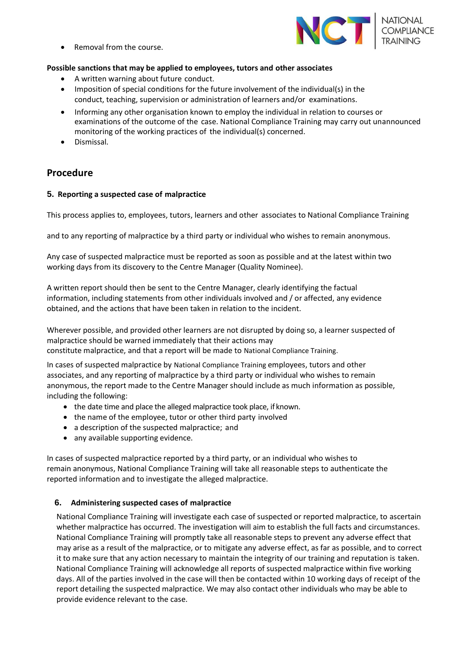• Removal from the course.

# **Possible sanctions that may be applied to employees, tutors and other associates**

- A written warning about future conduct.
- Imposition of special conditions for the future involvement of the individual(s) in the conduct, teaching, supervision or administration of learners and/or examinations.
- Informing any other organisation known to employ the individual in relation to courses or examinations of the outcome of the case. National Compliance Training may carry out unannounced monitoring of the working practices of the individual(s) concerned.
- Dismissal.

# **Procedure**

#### **5. Reporting a suspected case of malpractice**

This process applies to, employees, tutors, learners and other associates to National Compliance Training

and to any reporting of malpractice by a third party or individual who wishes to remain anonymous.

Any case of suspected malpractice must be reported as soon as possible and at the latest within two working days from its discovery to the Centre Manager (Quality Nominee).

A written report should then be sent to the Centre Manager, clearly identifying the factual information, including statements from other individuals involved and / or affected, any evidence obtained, and the actions that have been taken in relation to the incident.

Wherever possible, and provided other learners are not disrupted by doing so, a learner suspected of malpractice should be warned immediately that their actions may constitute malpractice, and that a report will be made to National Compliance Training.

In cases of suspected malpractice by National Compliance Training employees, tutors and other associates, and any reporting of malpractice by a third party or individual who wishes to remain anonymous, the report made to the Centre Manager should include as much information as possible, including the following:

- the date time and place the alleged malpractice took place, if known.
- the name of the employee, tutor or other third party involved
- a description of the suspected malpractice; and
- any available supporting evidence.

In cases of suspected malpractice reported by a third party, or an individual who wishes to remain anonymous, National Compliance Training will take all reasonable steps to authenticate the reported information and to investigate the alleged malpractice.

# **6. Administering suspected cases of malpractice**

National Compliance Training will investigate each case of suspected or reported malpractice, to ascertain whether malpractice has occurred. The investigation will aim to establish the full facts and circumstances. National Compliance Training will promptly take all reasonable steps to prevent any adverse effect that may arise as a result of the malpractice, or to mitigate any adverse effect, as far as possible, and to correct it to make sure that any action necessary to maintain the integrity of our training and reputation is taken. National Compliance Training will acknowledge all reports of suspected malpractice within five working days. All of the parties involved in the case will then be contacted within 10 working days of receipt of the report detailing the suspected malpractice. We may also contact other individuals who may be able to provide evidence relevant to the case.